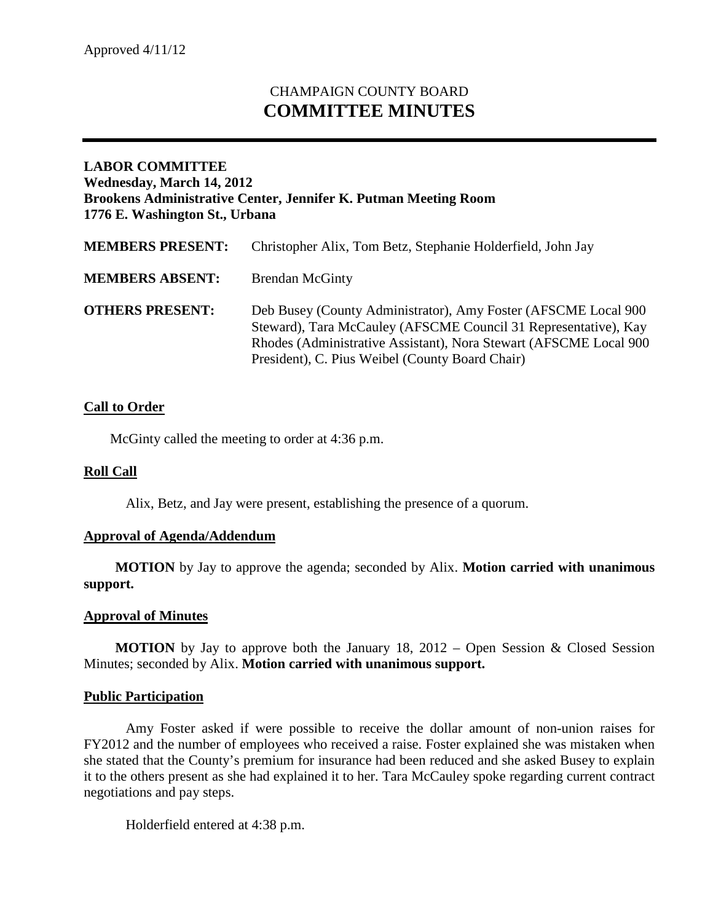# CHAMPAIGN COUNTY BOARD **COMMITTEE MINUTES**

## **LABOR COMMITTEE Wednesday, March 14, 2012 Brookens Administrative Center, Jennifer K. Putman Meeting Room 1776 E. Washington St., Urbana**

| <b>MEMBERS PRESENT:</b> | Christopher Alix, Tom Betz, Stephanie Holderfield, John Jay                                                                                                                                                                                               |
|-------------------------|-----------------------------------------------------------------------------------------------------------------------------------------------------------------------------------------------------------------------------------------------------------|
| <b>MEMBERS ABSENT:</b>  | <b>Brendan McGinty</b>                                                                                                                                                                                                                                    |
| <b>OTHERS PRESENT:</b>  | Deb Busey (County Administrator), Amy Foster (AFSCME Local 900<br>Steward), Tara McCauley (AFSCME Council 31 Representative), Kay<br>Rhodes (Administrative Assistant), Nora Stewart (AFSCME Local 900<br>President), C. Pius Weibel (County Board Chair) |

## **Call to Order**

McGinty called the meeting to order at 4:36 p.m.

#### **Roll Call**

Alix, Betz, and Jay were present, establishing the presence of a quorum.

#### **Approval of Agenda/Addendum**

**MOTION** by Jay to approve the agenda; seconded by Alix. **Motion carried with unanimous support.**

#### **Approval of Minutes**

**MOTION** by Jay to approve both the January 18, 2012 – Open Session & Closed Session Minutes; seconded by Alix. **Motion carried with unanimous support.**

#### **Public Participation**

Amy Foster asked if were possible to receive the dollar amount of non-union raises for FY2012 and the number of employees who received a raise. Foster explained she was mistaken when she stated that the County's premium for insurance had been reduced and she asked Busey to explain it to the others present as she had explained it to her. Tara McCauley spoke regarding current contract negotiations and pay steps.

Holderfield entered at 4:38 p.m.